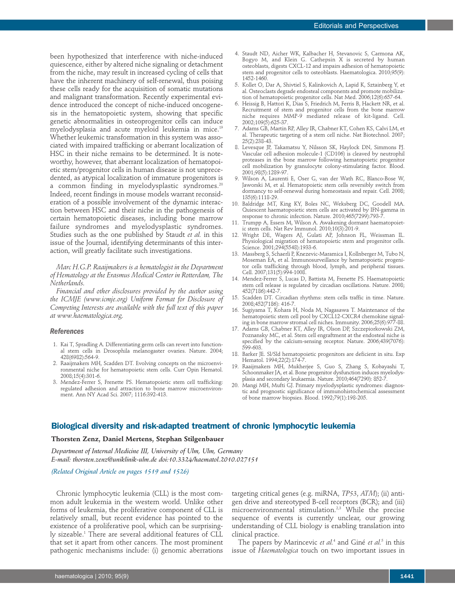been hypothesized that interference with niche-induced quiescence, either by altered niche signaling or detachment from the niche, may result in increased cycling of cells that have the inherent machinery of self-renewal, thus poising these cells ready for the acquisition of somatic mutations and malignant transformation. Recently experimental evidence introduced the concept of niche-induced oncogenesis in the hematopoietic system, showing that specific genetic abnormalities in osteoprogenitor cells can induce myelodysplasia and acute myeloid leukemia in mice. 19 Whether leukemic transformation in this system was associated with impaired trafficking or aberrant localization of HSC in their niche remains to be determined. It is noteworthy, however, that aberrant localization of hematopoietic stem/progenitor cells in human disease is not unprecedented, as atypical localization of immature progenitors is a common finding in myelodysplastic syndromes. 20 Indeed, recent findings in mouse models warrant reconsideration of a possible involvement of the dynamic interaction between HSC and their niche in the pathogenesis of certain hematopoietic diseases, including bone marrow failure syndromes and myelodysplastic syndromes. Studies such as the one published by Staudt *et al.* in this issue of the Journal, identifying determinants of this inter-

*Marc H.G.P. Raaijmakers is a hematologist in the Department of Hematology at the Erasmus Medical Center in Rotterdam, The Netherlands.*

action, will greatly facilitate such investigations.

*Financial and other disclosures provided by the author using the ICMJE (www.icmje.org) Uniform Format for Disclosure of Competing Interests are available with the full text of this paper at www.haematologica.org.*

#### *References*

- 1. Kai T, Spradling A. Differentiating germ cells can revert into functional stem cells in Drosophila melanogaster ovaries. Nature. 2004; 428(6982):564-9.
- 2. Raaijmakers MH, Scadden DT. Evolving concepts on the microenvironmental niche for hematopoietic stem cells. Curr Opin Hematol. 2008;15(4):301-6.
- 3. Mendez-Ferrer S, Frenette PS. Hematopoietic stem cell trafficking: regulated adhesion and attraction to bone marrow microenvironment. Ann NY Acad Sci. 2007; 1116:392-413.
- 4. Staudt ND, Aicher WK, Kalbacher H, Stevanovic S, Carmona AK, Bogyo M, and Klein G. Cathepsin X is secreted by human osteoblasts, digests CXCL-12 and impairs adhesion of hematopoietic stem and progenitor cells to osteoblasts. Haematologica. 2010;95(9): 1452-1460.
- 5. Kollet O, Dar A, Shivtiel S, Kalinkovich A, Lapid K, Sztainberg Y, et al. Osteoclasts degrade endosteal components and promote mobilization of hematopoietic progenitor cells. Nat Med. 2006;12(6):657-64.
- 6. Heissig B, Hattori K, Dias S, Friedrich M, Ferris B, Hackett NR, et al. Recruitment of stem and progenitor cells from the bone marrow niche requires MMP-9 mediated release of kit-ligand. Cell. 2002;109(5):625-37.
- 7. Adams GB, Martin RP, Alley IR, Chabner KT, Cohen KS, Calvi LM, et al. Therapeutic targeting of a stem cell niche. Nat Biotechnol. 2007; 25(2):238-43.
- 8. Levesque JP, Takamatsu Y, Nilsson SK, Haylock DN, Simmons PJ. Vascular cell adhesion molecule-1 (CD106) is cleaved by neutrophil proteases in the bone marrow following hematopoietic progenitor cell mobilization by granulocyte colony-stimulating factor. Blood. 2001;98(5):1289-97.
- 9. Wilson A, Laurenti E, Oser G, van der Wath RC, Blanco-Bose W, Jaworski M, et al. Hematopoietic stem cells reversibly switch from dormancy to self-renewal during homeostasis and repair. Cell. 2008; 135(6):1118-29.
- 10. Baldridge MT, King KY, Boles NC, Weksberg DC, Goodell MA. Quiescent haematopoietic stem cells are activated by IFN-gamma in response to chronic infection. Nature. 2010;465(7299):793-7
- 11. Trumpp A, Essers M, Wilson A. Awakening dormant haematopoietic stem cells. Nat Rev Immunol. 2010;10(3):201-9.
- 12. Wright DE, Wagers AJ, Gulati AP, Johnson FL, Weissman IL. Physiological migration of hematopoietic stem and progenitor cells. Science. 2001;294(5548):1933-6.
- 13. Massberg S, Schaerli P, Knezevic-Maramica I, Kollnberger M, Tubo N, Moseman EA, et al. Immunosurveillance by hematopoietic progenitor cells trafficking through blood, lymph, and peripheral tissues. Cell. 2007;131(5):994-1008.
- 14. Mendez-Ferrer S, Lucas D, Battista M, Frenette PS. Haematopoietic stem cell release is regulated by circadian oscillations. Nature. 2008; 452(7186):442-7.
- 15. Scadden DT. Circadian rhythms: stem cells traffic in time. Nature. 2008;452(7186): 416-7.
- 16. Sugiyama T, Kohara H, Noda M, Nagasawa T. Maintenance of the hematopoietic stem cell pool by CXCL12-CXCR4 chemokine signaling in bone marrow stromal cell niches. Immunity. 2006;25(6):977-88.
- 17. Adams GB, Chabner KT, Alley IR, Olson DP, Szczepiorkowski ZM, Poznansky MC, et al. Stem cell engraftment at the endosteal niche is specified by the calcium-sensing receptor. Nature. 2006;439(7076): 599-603.
- 18. Barker JE. Sl/Sld hematopoietic progenitors are deficient in situ. Exp Hematol. 1994;22(2):174-7.
- 19. Raaijmakers MH, Mukherjee S, Guo S, Zhang S, Kobayashi T, Schoonmaker JA, et al. Bone progenitor dysfunction induces myelodysplasia and secondary leukaemia. Nature. 2010;464(7290): 852-7.
- 20. Mangi MH, Mufti GJ. Primary myelodysplastic syndromes: diagnostic and prognostic significance of immunohistochemical assessment of bone marrow biopsies. Blood. 1992;79(1):198-205.

## **Biological diversity and risk-adapted treatment of chronic lymphocytic leukemia**

#### **Thorsten Zenz, Daniel Mertens, Stephan Stilgenbauer**

*Department of Internal Medicine III, University of Ulm, Ulm, Germany E-mail: thorsten.zenz@uniklinik-ulm.de doi:10.3324/haematol.2010.027151*

## *(Related Original Article on pages 1519 and 1526)*

Chronic lymphocytic leukemia (CLL) is the most common adult leukemia in the western world. Unlike other forms of leukemia, the proliferative component of CLL is relatively small, but recent evidence has pointed to the existence of a proliferative pool, which can be surprisingly sizeable. <sup>1</sup> There are several additional features of CLL that set it apart from other cancers. The most prominent pathogenic mechanisms include: (i) genomic aberrations

targeting critical genes (e.g. miRNA, *TP53*, *ATM*); (ii) antigen drive and stereotyped B-cell receptors (BCR); and (iii) microenvironmental stimulation. 2,3 While the precise sequence of events is currently unclear, our growing understanding of CLL biology is enabling translation into clinical practice.

The papers by Marincevic *et al.* <sup>4</sup> and Giné *et al.* <sup>5</sup> in this issue of *Haematologica* touch on two important issues in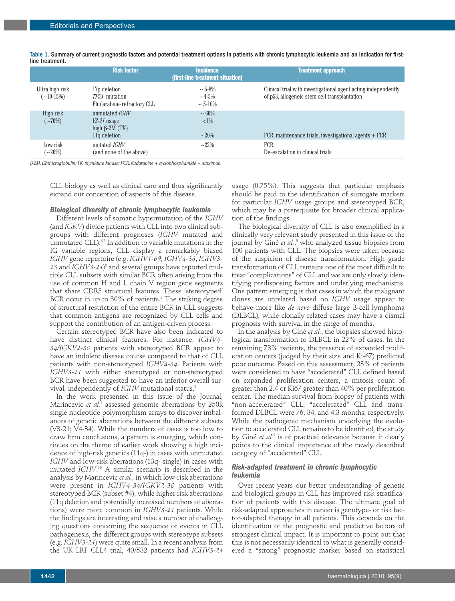|                                | <b>Risk factor</b>                                                              | <b>Incidence</b><br>(first-line treatment situation) | <b>Treatment approach</b>                                                                                      |
|--------------------------------|---------------------------------------------------------------------------------|------------------------------------------------------|----------------------------------------------------------------------------------------------------------------|
| Ultra high risk<br>$(-10-15%)$ | 17 <sub>p</sub> deletion<br><i>TP53</i> mutation<br>Fludarabine-refractory CLL  | $\sim$ 5-8%<br>$~1 - 4 - 5\%$<br>$\sim 5 - 10\%$     | Clinical trial with investigational agent acting independently<br>of p53, allogeneic stem cell transplantation |
| High risk<br>$(-70%)$          | unmutated <i>IGHV</i><br>$V3-21$ usage<br>high $\beta$ -2M (TK)<br>11q deletion | $~1.60\%$<br>$<1\%$<br>$~20\%$                       | FCR, maintenance trials, investigational agents $+$ FCR                                                        |
| Low risk<br>$\sim 20\%)$       | mutated <i>IGHV</i><br>(and none of the above)                                  | $-22\%$                                              | FCR.<br>De-escalation in clinical trials                                                                       |

Table 1. Summary of current prognostic factors and potential treatment options in patients with chronic lymphocytic leukemia and an indication for firstline treatment.

b*-2M,*b*2-microglobulin;TK,thymidine kinase; FCR,fludarabine + cyclophosphamide + rituximab.*

CLL biology as well as clinical care and thus significantly expand our conception of aspects of this disease.

#### *Biological diversity of chronic lymphocytic leukemia*

Different levels of somatic hypermutation of the *IGHV* (and *IGKV*) divide patients with CLL into two clinical subgroups with different prognoses (*IGHV* mutated and unmutated CLL). $6,7$  In addition to variable mutations in the IG variable regions, CLL display a remarkably biased *IGHV* gene repertoire (e.g. *IGHV1-69*, *IGHV4-34*, *IGHV3-* 23 and  $IGHV$ 3-21) $^{\circ}$  and several groups have reported multiple CLL subsets with similar BCR often arising from the use of common H and L chain V region gene segments that share CDR3 structural features. These 'stereotyped' BCR occur in up to 30% of patients. <sup>2</sup> The striking degree of structural restriction of the entire BCR in CLL suggests that common antigens are recognized by CLL cells and support the contribution of an antigen-driven process.

Certain stereotyped BCR have also been indicated to have distinct clinical features. For instance, *IGHV4- 34/IGKV2-30* patients with stereotyped BCR appear to have an indolent disease course compared to that of CLL patients with non-stereotyped *IGHV4-34*. Patients with *IGHV3-21* with either stereotyped or non-stereotyped BCR have been suggested to have an inferior overall survival, independently of *IGHV* mutational status. 9

In the work presented in this issue of the Journal, Marincevic *et al.* <sup>4</sup> assessed genomic aberrations by 250k single nucleotide polymorphism arrays to discover imbalances of genetic aberrations between the different subsets (V3-21; V4-34). While the numbers of cases is too low to draw firm conclusions, a pattern is emerging, which continues on the theme of earlier work showing a high incidence of high-risk genetics (11q-) in cases with unmutated *IGHV* and low-risk aberrations (13q- single) in cases with mutated *IGHV*. <sup>10</sup> A similar scenario is described in the analysis by Marincevic *et al.*, in which low-risk aberrations were present in *IGHV4-34/IGKV2-30* patients with stereotyped BCR (subset #4), while higher risk aberrations (11q deletion and potentially increased numbers of aberrations) were more common in *IGHV3-21* patients. While the findings are interesting and raise a number of challenging questions concerning the sequence of events in CLL pathogenesis, the different groups with stereotype subsets (e.g. *IGHV3-21*) were quite small. In a recent analysis from the UK LRF CLL4 trial, 40/532 patients had *IGHV3-21*

usage (0.75%). This suggests that particular emphasis should be paid to the identification of surrogate markers for particular *IGHV* usage groups and stereotyped BCR, which may be a prerequisite for broader clinical application of the findings.

The biological diversity of CLL is also exemplified in a clinically very relevant study presented in this issue of the journal by Giné *et al.*, <sup>5</sup> who analyzed tissue biopsies from 100 patients with CLL. The biopsies were taken because of the suspicion of disease transformation. High grade transformation of CLL remains one of the most difficult to treat "complications" of CLL and we are only slowly identifying predisposing factors and underlying mechanisms. One pattern emerging is that cases in which the malignant clones are unrelated based on *IGHV* usage appear to behave more like *de novo* diffuse large B-cell lymphoma (DLBCL), while clonally related cases may have a dismal prognosis with survival in the range of months.

In the analysis by Giné *et al.*, the biopsies showed histological transformation to DLBCL in 22% of cases. In the remaining 78% patients, the presence of expanded proliferation centers (judged by their size and Ki-67) predicted poor outcome. Based on this assessment, 23% of patients were considered to have "accelerated" CLL defined based on expanded proliferation centers, a mitosis count of greater than 2.4 or Ki67 greater than 40% per proliferation center. The median survival from biopsy of patients with "non-accelerated" CLL, "accelerated" CLL and transformed DLBCL were 76, 34, and 4.3 months, respectively. While the pathogenic mechanism underlying the evolution to accelerated CLL remains to be identified, the study by Giné *et al.* <sup>5</sup> is of practical relevance because it clearly points to the clinical importance of the newly described category of "accelerated" CLL.

# *Risk-adapted treatment in chronic lymphocytic leukemia*

Over recent years our better understanding of genetic and biological groups in CLL has improved risk stratification of patients with this disease. The ultimate goal of risk-adapted approaches in cancer is genotype- or risk factor-adapted therapy in all patients. This depends on the identification of the prognostic and predictive factors of strongest clinical impact. It is important to point out that this is not necessarily identical to what is generally considered a "strong" prognostic marker based on statistical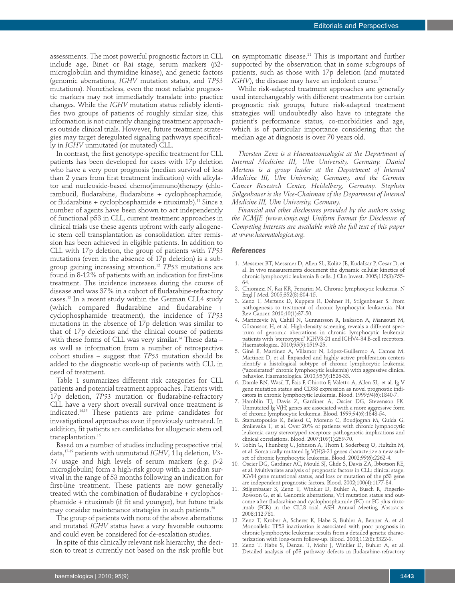assessments. The most powerful prognostic factors in CLL include age, Binet or Rai stage, serum markers ( $\beta$ 2microglobulin and thymidine kinase), and genetic factors (genomic aberrations, *IGHV* mutation status, and *TP53* mutations). Nonetheless, even the most reliable prognostic markers may not immediately translate into practice changes. While the *IGHV* mutation status reliably identifies two groups of patients of roughly similar size, this information is not currently changing treatment approaches outside clinical trials. However, future treatment strategies may target deregulated signaling pathways specifically in *IGHV* unmutated (or mutated) CLL.

In contrast, the first genotype-specific treatment for CLL patients has been developed for cases with 17p deletion who have a very poor prognosis (median survival of less than 2 years from first treatment indication) with alkylator and nucleoside-based chemo(immuno)therapy (chlorambucil, fludarabine, fludarabine + cyclophosphamide, or fludarabine + cyclophosphamide + rituximab). <sup>11</sup> Since a number of agents have been shown to act independently of functional p53 in CLL, current treatment approaches in clinical trials use these agents upfront with early allogeneic stem cell transplantation as consolidation after remission has been achieved in eligible patients. In addition to CLL with 17p deletion, the group of patients with *TP53* mutations (even in the absence of 17p deletion) is a subgroup gaining increasing attention. <sup>12</sup> *TP53* mutations are found in 8-12% of patients with an indication for first-line treatment. The incidence increases during the course of disease and was 37% in a cohort of fludarabine-refractory cases. <sup>13</sup> In a recent study within the German CLL4 study (which compared fludarabine and fludarabine + cyclophosphamide treatment), the incidence of *TP53* mutations in the absence of 17p deletion was similar to that of 17p deletions and the clinical course of patients with these forms of CLL was very similar. <sup>14</sup> These data – as well as information from a number of retrospective cohort studies – suggest that *TP53* mutation should be added to the diagnostic work-up of patients with CLL in need of treatment.

Table 1 summarizes different risk categories for CLL patients and potential treatment approaches. Patients with 17p deletion, *TP53* mutation or fludarabine-refractory CLL have a very short overall survival once treatment is indicated. 14,15 These patients are prime candidates for investigational approaches even if previously untreated. In addition, fit patients are candidates for allogeneic stem cell transplantation. 16

Based on a number of studies including prospective trial data, 17-19 patients with unmutated *IGHV*, 11q deletion, *V3-*  $21$  usage and high levels of serum markers (e.g.  $\beta$ -2 microglobulin) form a high-risk group with a median survival in the range of 53 months following an indication for first-line treatment. These patients are now generally treated with the combination of fludarabine + cyclophosphamide + rituximab (if fit and younger), but future trials may consider maintenance strategies in such patients. $^{\scriptscriptstyle 20}$ 

The group of patients with none of the above aberrations and mutated *IGHV* status have a very favorable outcome and could even be considered for de-escalation studies.

In spite of this clinically relevant risk hierarchy, the decision to treat is currently not based on the risk profile but

on symptomatic disease. <sup>21</sup> This is important and further supported by the observation that in some subgroups of patients, such as those with 17p deletion (and mutated *IGHV*), the disease may have an indolent course. $^{\scriptscriptstyle 22}$ 

While risk-adapted treatment approaches are generally used interchangeably with different treatments for certain prognostic risk groups, future risk-adapted treatment strategies will undoubtedly also have to integrate the patient's performance status, co-morbidities and age, which is of particular importance considering that the median age at diagnosis is over 70 years old.

*Thorsten Zenz is a Haematooncologist at the Department of Internal Medicine III, Ulm University, Germany. Daniel Mertens is a group leader at the Department of Internal Medicine III, Ulm University, Germany, and the German Cancer Research Center, Heidelberg, Germany. Stephan Stilgenbauer is the Vice-Chairman of the Department of Internal Medicine III, Ulm University, Germany.*

*Financial and other disclosures provided by the authors using the ICMJE (www.icmje.org) Uniform Format for Disclosure of Competing Interests are available with the full text of this paper at www.haematologica.org.*

#### *References*

- 1. Messmer BT, Messmer D, Allen SL, Kolitz JE, Kudalkar P, Cesar D, et al. In vivo measurements document the dynamic cellular kinetics of chronic lymphocytic leukemia B cells. J Clin Invest. 2005;115(3):755- 64.
- 2. Chiorazzi N, Rai KR, Ferrarini M. Chronic lymphocytic leukemia. N Engl J Med. 2005;352(8):804-15.
- 3. Zenz T, Mertens D, Kuppers R, Dohner H, Stilgenbauer S. From pathogenesis to treatment of chronic lymphocytic leukaemia. Nat Rev Cancer. 2010;10(1):37-50.
- 4. Marincevic M, Cahill N, Gunnarsson R, Isaksson A, Mansouri M, Göransson H, et al. High-density screening reveals a different spectrum of genomic aberrations in chronic lymphocytic leukemia patients with 'stereotyped' IGHV3-21 and IGHV4-34 B-cell receptors. Haematologica. 2010;95(9):1519-25.
- 5. Giné E, Martinez A, Villamor N, López-Guillermo A, Camos M, Martinez D, et al. Expanded and highly active proliferation centers identify a histological subtype of chronic lymphocytic leukemia ("accelerated" chronic lymphocytic leukemia) with aggressive clinical behavior. Haematologica. 2010;95(9):1526-33.
- 6. Damle RN, Wasil T, Fais F, Ghiotto F, Valetto A, Allen SL, et al. Ig V gene mutation status and CD38 expression as novel prognostic indicators in chronic lymphocytic leukemia. Blood. 1999;94(6):1840-7.
- 7. Hamblin TJ, Davis Z, Gardiner A, Oscier DG, Stevenson FK. Unmutated Ig V(H) genes are associated with a more aggressive form of chronic lymphocytic leukemia. Blood. 1999;94(6):1848-54.
- 8. Stamatopoulos K, Belessi C, Moreno C, Boudjograh M, Guida G, Smilevska T, et al. Over 20% of patients with chronic lymphocytic leukemia carry stereotyped receptors: pathogenetic implications and clinical correlations. Blood. 2007;109(1):259-70.
- 9. Tobin G, Thunberg U, Johnson A, Thorn I, Soderberg O, Hultdin M, et al. Somatically mutated Ig V(H)3-21 genes characterize a new subset of chronic lymphocytic leukemia. Blood. 2002;99(6):2262-4.
- 10. Oscier DG, Gardiner AC, Mould SJ, Glide S, Davis ZA, Ibbotson RE, et al. Multivariate analysis of prognostic factors in CLL: clinical stage, IGVH gene mutational status, and loss or mutation of the p53 gene are independent prognostic factors. Blood. 2002;100(4):1177-84.
- 11. Stilgenbauer S, Zenz T, Winkler D, Buhler A, Busch R, Fingerle-Rowson G, et al. Genomic aberrations, VH mutation status and outcome after fludarabine and cyclophosphamide (FC) or FC plus rituximab (FCR) in the CLL8 trial. ASH Annual Meeting Abstracts. 2008;112:781.
- 12. Zenz T, Krober A, Scherer K, Habe S, Buhler A, Benner A, et al. Monoallelic TP53 inactivation is associated with poor prognosis in chronic lymphocytic leukemia: results from a detailed genetic characterization with long-term follow-up. Blood. 2008;112(8):3322-9.
- 13. Zenz T, Habe S, Denzel T, Mohr J, Winkler D, Buhler A, et al. Detailed analysis of p53 pathway defects in fludarabine-refractory